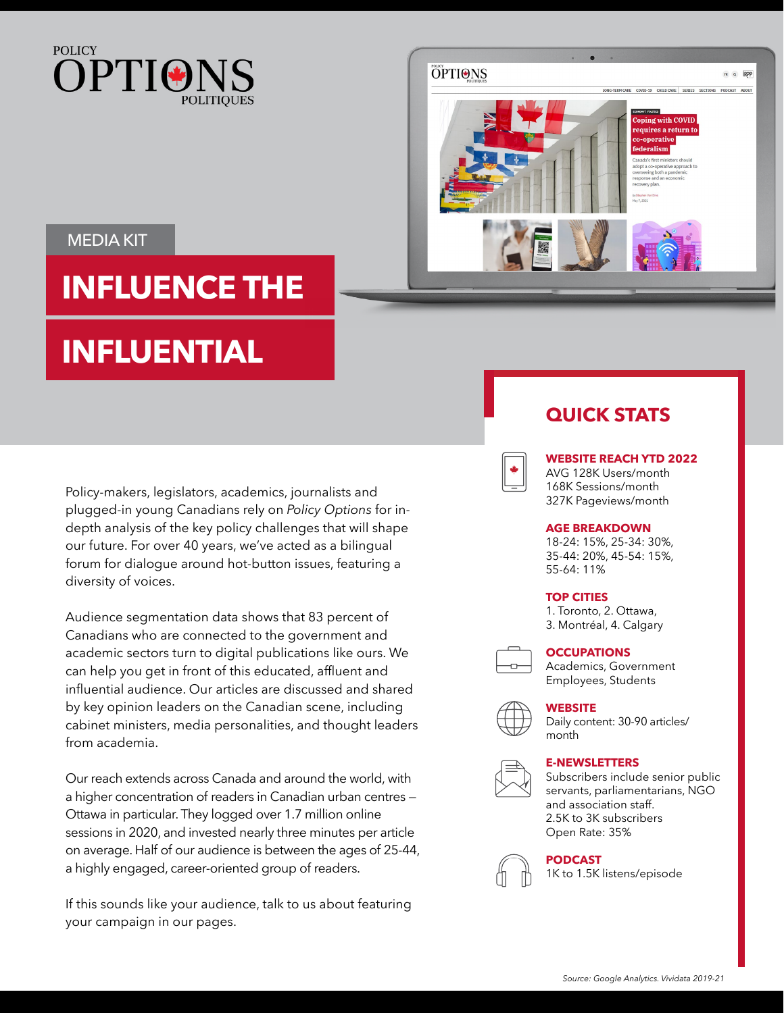



### MEDIA KIT

# **INFLUENCE THE**

# **INFLUENTIAL**

Policy-makers, legislators, academics, journalists and plugged-in young Canadians rely on *Policy Options* for indepth analysis of the key policy challenges that will shape our future. For over 40 years, we've acted as a bilingual forum for dialogue around hot-button issues, featuring a diversity of voices.

Audience segmentation data shows that 83 percent of Canadians who are connected to the government and academic sectors turn to digital publications like ours. We can help you get in front of this educated, affluent and influential audience. Our articles are discussed and shared by key opinion leaders on the Canadian scene, including cabinet ministers, media personalities, and thought leaders from academia.

Our reach extends across Canada and around the world, with a higher concentration of readers in Canadian urban centres — Ottawa in particular. They logged over 1.7 million online sessions in 2020, and invested nearly three minutes per article on average. Half of our audience is between the ages of 25-44, a highly engaged, career-oriented group of readers.

If this sounds like your audience, talk to us about featuring your campaign in our pages.

### **QUICK STATS**



#### **WEBSITE REACH YTD 2022**

AVG 128K Users/month 168K Sessions/month 327K Pageviews/month

#### **AGE BREAKDOWN**

18-24: 15%, 25-34: 30%, 35-44: 20%, 45-54: 15%, 55-64: 11%

#### **TOP CITIES**

1. Toronto, 2. Ottawa, 3. Montréal, 4. Calgary



#### **OCCUPATIONS**

Academics, Government Employees, Students

#### **WEBSITE**

Daily content: 30-90 articles/ month

#### **E-NEWSLETTERS**



Subscribers include senior public servants, parliamentarians, NGO and association staff. 2.5K to 3K subscribers Open Rate: 35%



**PODCAST**

1K to 1.5K listens/episode